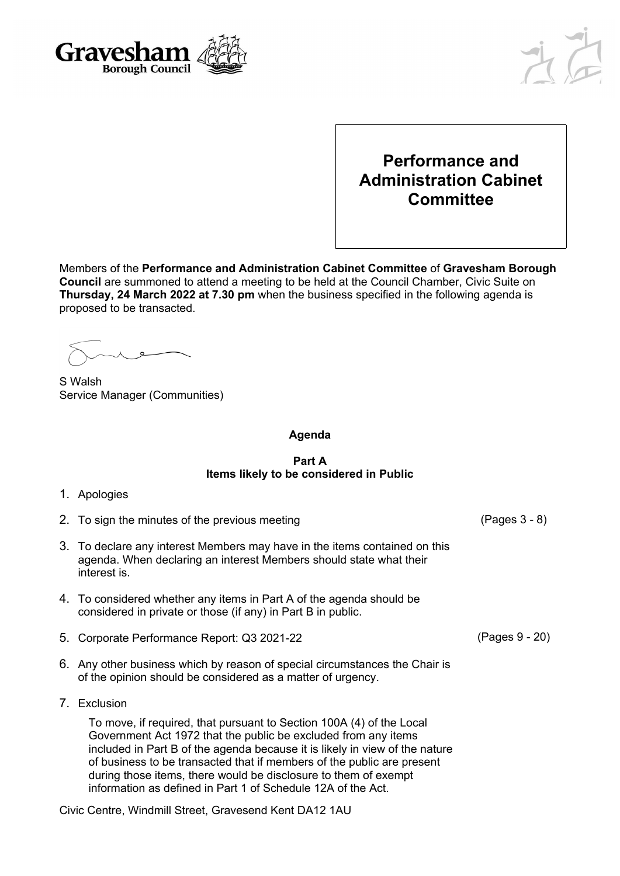

## **Performance and Administration Cabinet Committee**

Members of the **Performance and Administration Cabinet Committee** of **Gravesham Borough Council** are summoned to attend a meeting to be held at the Council Chamber, Civic Suite on **Thursday, 24 March 2022 at 7.30 pm** when the business specified in the following agenda is proposed to be transacted.

S Walsh Service Manager (Communities)

**Agenda**

## **Part A Items likely to be considered in Public**

- 1. Apologies
- 2. To sign the minutes of the previous meeting (Pages 3 8)
- 3. To declare any interest Members may have in the items contained on this agenda. When declaring an interest Members should state what their interest is.
- 4. To considered whether any items in Part A of the agenda should be considered in private or those (if any) in Part B in public.
- 5. Corporate Performance Report: Q3 2021-22 (Pages 9 20)
- 6. Any other business which by reason of special circumstances the Chair is of the opinion should be considered as a matter of urgency.
- 7. Exclusion

To move, if required, that pursuant to Section 100A (4) of the Local Government Act 1972 that the public be excluded from any items included in Part B of the agenda because it is likely in view of the nature of business to be transacted that if members of the public are present during those items, there would be disclosure to them of exempt information as defined in Part 1 of Schedule 12A of the Act.

Civic Centre, Windmill Street, Gravesend Kent DA12 1AU